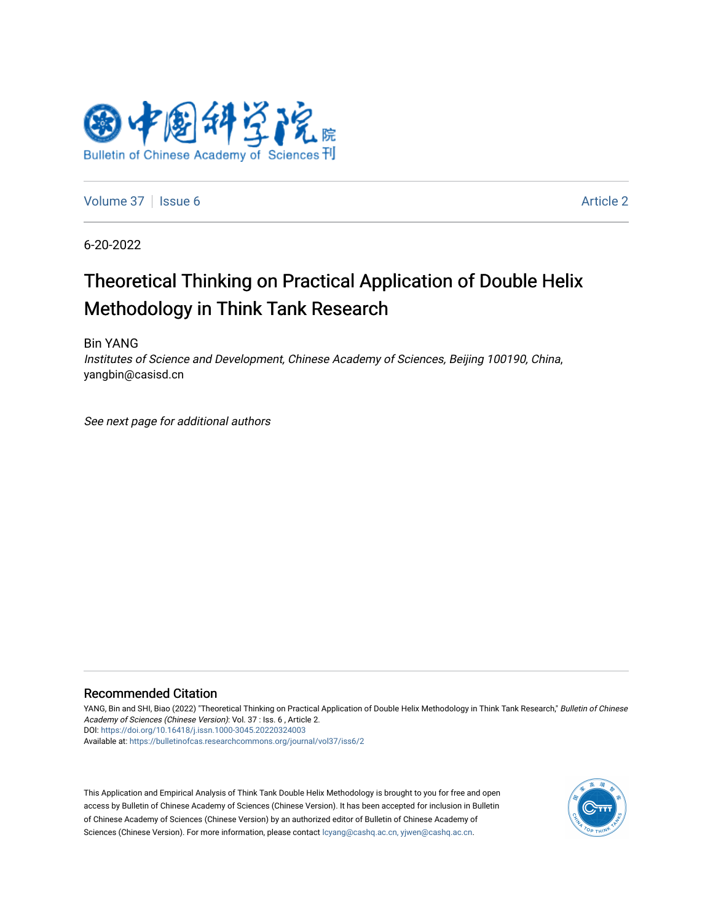

[Volume 37](https://bulletinofcas.researchcommons.org/journal/vol37) | [Issue 6](https://bulletinofcas.researchcommons.org/journal/vol37/iss6) Article 2

6-20-2022

## Theoretical Thinking on Practical Application of Double Helix Methodology in Think Tank Research

Bin YANG

Institutes of Science and Development, Chinese Academy of Sciences, Beijing 100190, China, yangbin@casisd.cn

See next page for additional authors

#### Recommended Citation

YANG, Bin and SHI, Biao (2022) "Theoretical Thinking on Practical Application of Double Helix Methodology in Think Tank Research," Bulletin of Chinese Academy of Sciences (Chinese Version): Vol. 37 : Iss. 6 , Article 2. DOI: <https://doi.org/10.16418/j.issn.1000-3045.20220324003> Available at: [https://bulletinofcas.researchcommons.org/journal/vol37/iss6/2](https://bulletinofcas.researchcommons.org/journal/vol37/iss6/2?utm_source=bulletinofcas.researchcommons.org%2Fjournal%2Fvol37%2Fiss6%2F2&utm_medium=PDF&utm_campaign=PDFCoverPages) 

This Application and Empirical Analysis of Think Tank Double Helix Methodology is brought to you for free and open access by Bulletin of Chinese Academy of Sciences (Chinese Version). It has been accepted for inclusion in Bulletin of Chinese Academy of Sciences (Chinese Version) by an authorized editor of Bulletin of Chinese Academy of Sciences (Chinese Version). For more information, please contact [lcyang@cashq.ac.cn, yjwen@cashq.ac.cn.](mailto:lcyang@cashq.ac.cn,%20yjwen@cashq.ac.cn)

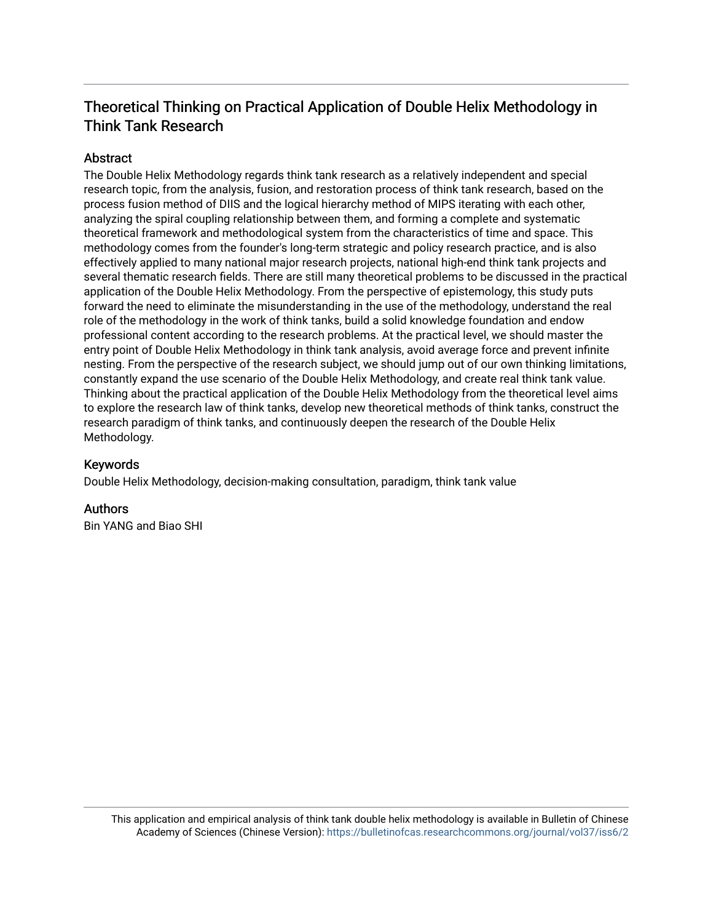### Theoretical Thinking on Practical Application of Double Helix Methodology in Think Tank Research

#### Abstract

The Double Helix Methodology regards think tank research as a relatively independent and special research topic, from the analysis, fusion, and restoration process of think tank research, based on the process fusion method of DIIS and the logical hierarchy method of MIPS iterating with each other, analyzing the spiral coupling relationship between them, and forming a complete and systematic theoretical framework and methodological system from the characteristics of time and space. This methodology comes from the founder's long-term strategic and policy research practice, and is also effectively applied to many national major research projects, national high-end think tank projects and several thematic research fields. There are still many theoretical problems to be discussed in the practical application of the Double Helix Methodology. From the perspective of epistemology, this study puts forward the need to eliminate the misunderstanding in the use of the methodology, understand the real role of the methodology in the work of think tanks, build a solid knowledge foundation and endow professional content according to the research problems. At the practical level, we should master the entry point of Double Helix Methodology in think tank analysis, avoid average force and prevent infinite nesting. From the perspective of the research subject, we should jump out of our own thinking limitations, constantly expand the use scenario of the Double Helix Methodology, and create real think tank value. Thinking about the practical application of the Double Helix Methodology from the theoretical level aims to explore the research law of think tanks, develop new theoretical methods of think tanks, construct the research paradigm of think tanks, and continuously deepen the research of the Double Helix Methodology.

#### Keywords

Double Helix Methodology, decision-making consultation, paradigm, think tank value

#### **Authors**

Bin YANG and Biao SHI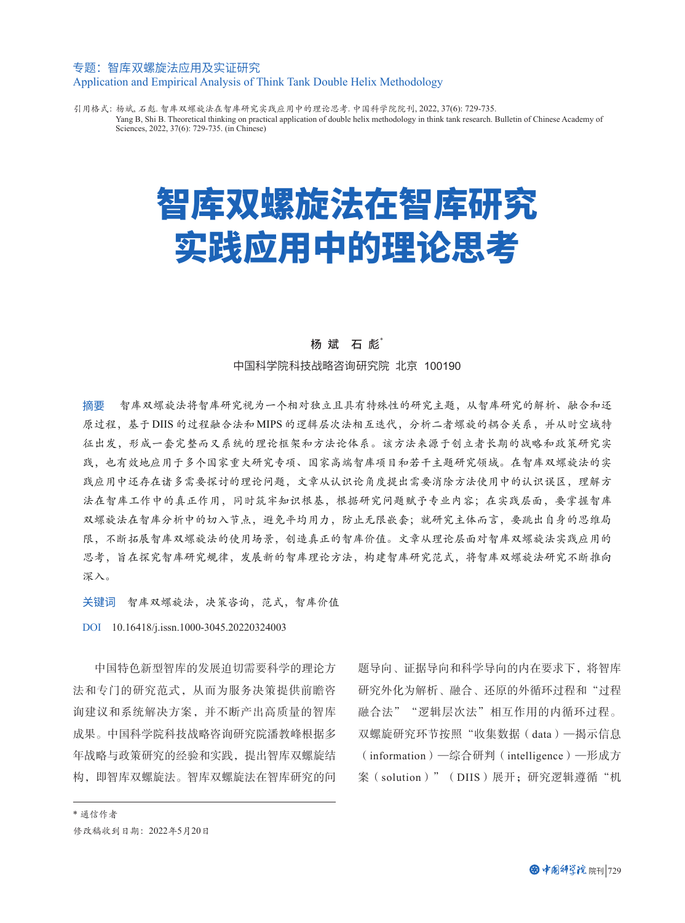#### 专题:智库双螺旋法应用及实证研究 Application and Empirical Analysis of Think Tank Double Helix Methodology

引用格式:杨斌, 石彪. 智库双螺旋法在智库研究实践应用中的理论思考. 中国科学院院刊, 2022, 37(6): 729-735. Yang B, Shi B. Theoretical thinking on practical application of double helix methodology in think tank research. Bulletin of Chinese Academy of Sciences, 2022, 37(6): 729-735. (in Chinese)

# 智库双螺旋法在智库研究 实践应用中的理论思考

#### 杨 斌 石 彪\*

中国科学院科技战略咨询研究院 北京 100190

摘要 智库双螺旋法将智库研究视为一个相对独立且具有特殊性的研究主题,从智库研究的解析、融合和还 原过程,基于 DIIS 的过程融合法和 MIPS 的逻辑层次法相互迭代,分析二者螺旋的耦合关系,并从时空域特 征出发,形成一套完整而又系统的理论框架和方法论体系。该方法来源于创立者长期的战略和政策研究实 践,也有效地应用于多个国家重大研究专项、国家高端智库项目和若干主题研究领域。在智库双螺旋法的实 践应用中还存在诸多需要探讨的理论问题,文章从认识论角度提出需要消除方法使用中的认识误区,理解方 法在智库工作中的真正作用,同时筑牢知识根基,根据研究问题赋予专业内容;在实践层面,要掌握智库 双螺旋法在智库分析中的切入节点,避免平均用力,防止无限嵌套;就研究主体而言,要跳出自身的思维局 限,不断拓展智库双螺旋法的使用场景,创造真正的智库价值。文章从理论层面对智库双螺旋法实践应用的 思考,旨在探究智库研究规律,发展新的智库理论方法,构建智库研究范式,将智库双螺旋法研究不断推向 深入。

关键词 智库双螺旋法,决策咨询,范式,智库价值

DOI 10.16418/j.issn.1000-3045.20220324003

中国特色新型智库的发展迫切需要科学的理论方 法和专门的研究范式,从而为服务决策提供前瞻咨 询建议和系统解决方案,并不断产出高质量的智库 成果。中国科学院科技战略咨询研究院潘教峰根据多 年战略与政策研究的经验和实践,提出智库双螺旋结 构,即智库双螺旋法。智库双螺旋法在智库研究的问 题导向、证据导向和科学导向的内在要求下,将智库 研究外化为解析、融合、还原的外循环过程和"过程 融合法""逻辑层次法"相互作用的内循环过程。 双螺旋研究环节按照"收集数据(data)—揭示信息 (information)—综合研判(intelligence)—形成方 案(solution)" (DIIS)展开; 研究逻辑遵循"机

\* 通信作者 修改稿收到日期:2022年5月20日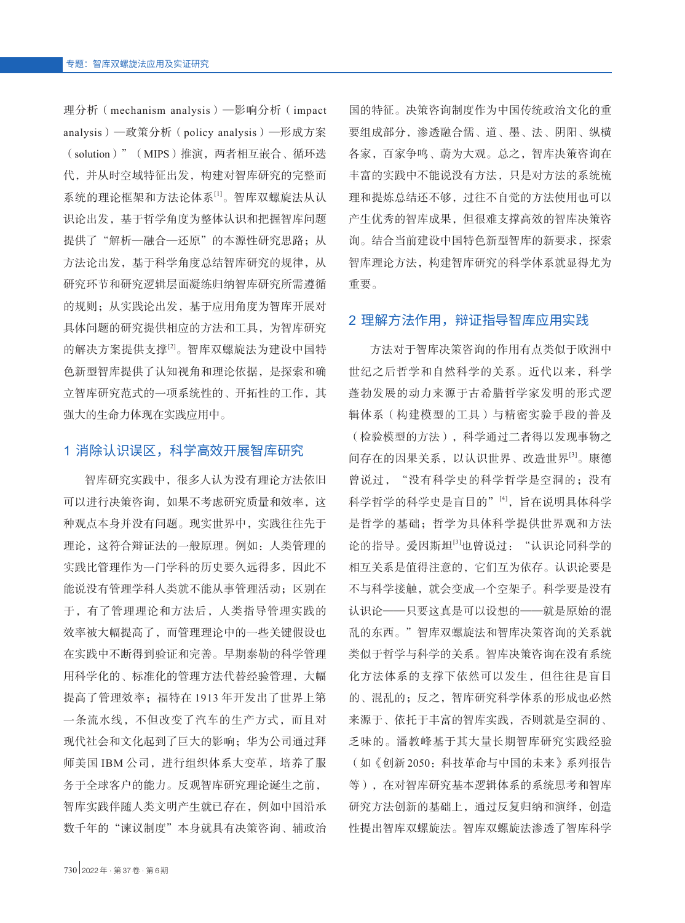理分析(mechanism analysis)—影响分析(impact analysis)—政策分析(policy analysis)—形成方案 (solution)"(MIPS)推演,两者相互嵌合、循环迭 代,并从时空域特征出发,构建对智库研究的完整而 系统的理论框架和方法论体系[1]。智库双螺旋法从认 识论出发,基于哲学角度为整体认识和把握智库问题 提供了"解析一融合一还原"的本源性研究思路;从 方法论出发,基于科学角度总结智库研究的规律,从 研究环节和研究逻辑层面凝练归纳智库研究所需遵循 的规则;从实践论出发,基于应用角度为智库开展对 具体问题的研究提供相应的方法和工具,为智库研究 的解决方案提供支撑[2]。智库双螺旋法为建设中国特 色新型智库提供了认知视角和理论依据,是探索和确 立智库研究范式的一项系统性的、开拓性的工作,其 强大的生命力体现在实践应用中。

#### 1 消除认识误区,科学高效开展智库研究

智库研究实践中,很多人认为没有理论方法依旧 可以进行决策咨询,如果不考虑研究质量和效率,这 种观点本身并没有问题。现实世界中,实践往往先于 理论,这符合辩证法的一般原理。例如:人类管理的 实践比管理作为一门学科的历史要久远得多,因此不 能说没有管理学科人类就不能从事管理活动;区别在 于,有了管理理论和方法后,人类指导管理实践的 效率被大幅提高了,而管理理论中的一些关键假设也 在实践中不断得到验证和完善。早期泰勒的科学管理 用科学化的、标准化的管理方法代替经验管理,大幅 提高了管理效率;福特在 1913 年开发出了世界上第 一条流水线,不但改变了汽车的生产方式,而且对 现代社会和文化起到了巨大的影响;华为公司通过拜 师美国 IBM 公司, 进行组织体系大变革, 培养了服 务于全球客户的能力。反观智库研究理论诞生之前, 智库实践伴随人类文明产生就已存在,例如中国沿承 数千年的"谏议制度"本身就具有决策咨询、辅政治

国的特征。决策咨询制度作为中国传统政治文化的重 要组成部分,渗透融合儒、道、墨、法、阴阳、纵横 各家,百家争鸣、蔚为大观。总之,智库决策咨询在 丰富的实践中不能说没有方法,只是对方法的系统梳 理和提炼总结还不够,过往不自觉的方法使用也可以 产生优秀的智库成果,但很难支撑高效的智库决策咨 询。结合当前建设中国特色新型智库的新要求,探索 智库理论方法,构建智库研究的科学体系就显得尤为 重要。

#### 2 理解方法作用,辩证指导智库应用实践

方法对于智库决策咨询的作用有点类似于欧洲中 世纪之后哲学和自然科学的关系。近代以来,科学 蓬勃发展的动力来源于古希腊哲学家发明的形式逻 辑体系(构建模型的工具)与精密实验手段的普及 (检验模型的方法),科学通过二者得以发现事物之 间存在的因果关系,以认识世界、改造世界[3]。康德 曾说过, "没有科学史的科学哲学是空洞的;没有 科学哲学的科学史是盲目的"[4],旨在说明具体科学 是哲学的基础;哲学为具体科学提供世界观和方法 论的指导。爱因斯坦[3]也曾说过: "认识论同科学的 相互关系是值得注意的,它们互为依存。认识论要是 不与科学接触,就会变成一个空架子。科学要是没有 认识论——只要这真是可以设想的——就是原始的混 乱的东西。"智库双螺旋法和智库决策咨询的关系就 类似于哲学与科学的关系。智库决策咨询在没有系统 化方法体系的支撑下依然可以发生,但往往是盲目 的、混乱的;反之,智库研究科学体系的形成也必然 来源于、依托于丰富的智库实践,否则就是空洞的、 乏味的。潘教峰基于其大量长期智库研究实践经验 (如《创新 2050:科技革命与中国的未来》系列报告 等),在对智库研究基本逻辑体系的系统思考和智库 研究方法创新的基础上,通过反复归纳和演绎,创造 性提出智库双螺旋法。智库双螺旋法渗透了智库科学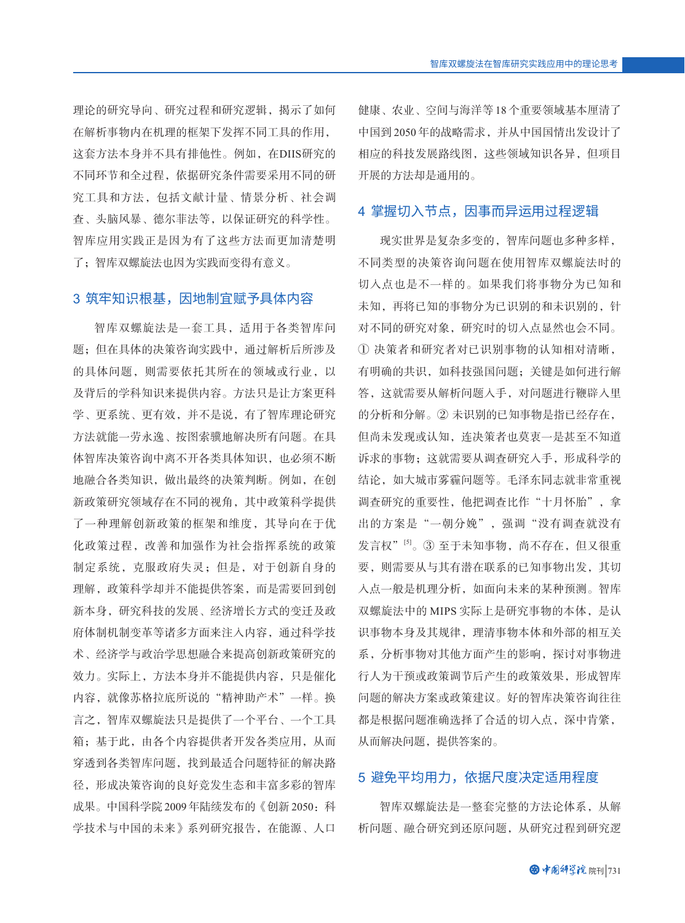理论的研究导向、研究过程和研究逻辑,揭示了如何 在解析事物内在机理的框架下发挥不同工具的作用, 这套方法本身并不具有排他性。例如,在DIIS研究的 不同环节和全过程,依据研究条件需要采用不同的研 究工具和方法,包括文献计量、情景分析、社会调 查、头脑风暴、德尔菲法等,以保证研究的科学性。 智库应用实践正是因为有了这些方法而更加清楚明 了;智库双螺旋法也因为实践而变得有意义。

#### 3 筑牢知识根基,因地制宜赋予具体内容

智库双螺旋法是一套工具,适用于各类智库问 题;但在具体的决策咨询实践中,通过解析后所涉及 的具体问题,则需要依托其所在的领域或行业,以 及背后的学科知识来提供内容。方法只是让方案更科 学、更系统、更有效,并不是说,有了智库理论研究 方法就能一劳永逸、按图索骥地解决所有问题。在具 体智库决策咨询中离不开各类具体知识,也必须不断 地融合各类知识,做出最终的决策判断。例如,在创 新政策研究领域存在不同的视角,其中政策科学提供 了一种理解创新政策的框架和维度,其导向在于优 化政策过程,改善和加强作为社会指挥系统的政策 制定系统,克服政府失灵;但是,对于创新自身的 理解,政策科学却并不能提供答案,而是需要回到创 新本身,研究科技的发展、经济增长方式的变迁及政 府体制机制变革等诸多方面来注入内容,通过科学技 术、经济学与政治学思想融合来提高创新政策研究的 效力。实际上,方法本身并不能提供内容,只是催化 内容, 就像苏格拉底所说的"精神助产术"一样。换 言之,智库双螺旋法只是提供了一个平台、一个工具 箱;基于此,由各个内容提供者开发各类应用,从而 穿透到各类智库问题,找到最适合问题特征的解决路 径,形成决策咨询的良好竞发生态和丰富多彩的智库 成果。中国科学院 2009年陆续发布的《创新 2050: 科 学技术与中国的未来》系列研究报告,在能源、人口

健康、农业、空间与海洋等 18 个重要领域基本厘清了 中国到 2050 年的战略需求,并从中国国情出发设计了 相应的科技发展路线图,这些领域知识各异,但项目 开展的方法却是通用的。

#### 4 掌握切入节点,因事而异运用过程逻辑

现实世界是复杂多变的,智库问题也多种多样, 不同类型的决策咨询问题在使用智库双螺旋法时的 切入点也是不一样的。如果我们将事物分为已知和 未知,再将已知的事物分为已识别的和未识别的,针 对不同的研究对象,研究时的切入点显然也会不同。 ① 决策者和研究者对已识别事物的认知相对清晰, 有明确的共识,如科技强国问题;关键是如何进行解 答,这就需要从解析问题入手,对问题进行鞭辟入里 的分析和分解。② 未识别的已知事物是指已经存在, 但尚未发现或认知,连决策者也莫衷一是甚至不知道 诉求的事物;这就需要从调查研究入手,形成科学的 结论,如大城市雾霾问题等。毛泽东同志就非常重视 调查研究的重要性,他把调查比作"十月怀胎",拿 出的方案是"一朝分娩",强调"没有调查就没有 发言权"<sup>[5]</sup>。③ 至于未知事物, 尚不存在, 但又很重 要,则需要从与其有潜在联系的已知事物出发,其切 入点一般是机理分析,如面向未来的某种预测。智库 双螺旋法中的 MIPS 实际上是研究事物的本体,是认 识事物本身及其规律,理清事物本体和外部的相互关 系,分析事物对其他方面产生的影响,探讨对事物进 行人为干预或政策调节后产生的政策效果,形成智库 问题的解决方案或政策建议。好的智库决策咨询往往 都是根据问题准确选择了合适的切入点,深中肯綮, 从而解决问题,提供答案的。

#### 5 避免平均用力,依据尺度决定适用程度

智库双螺旋法是一整套完整的方法论体系,从解 析问题、融合研究到还原问题,从研究过程到研究逻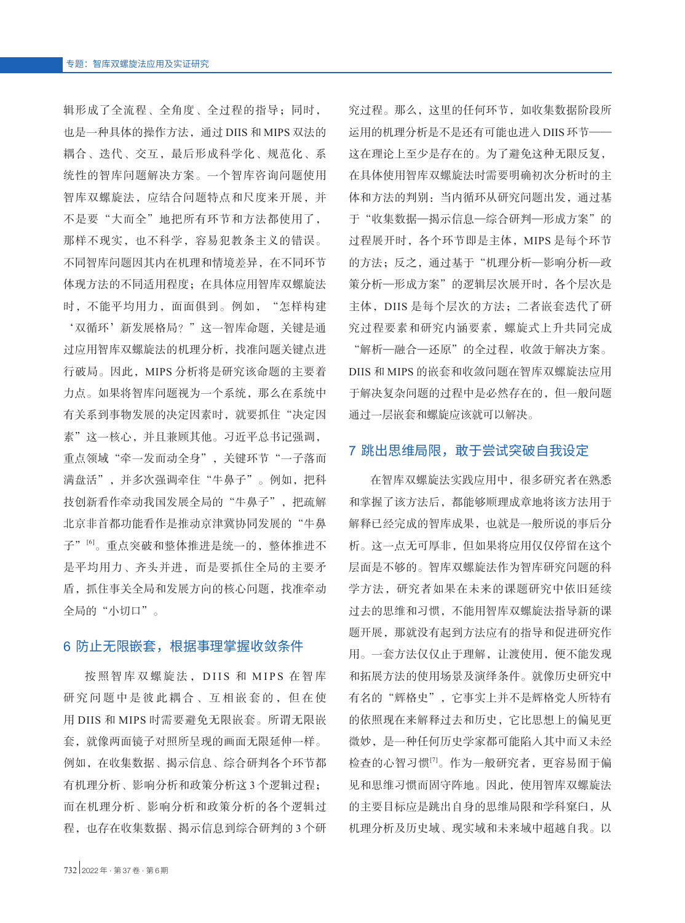辑形成了全流程、全角度、全过程的指导;同时, 也是一种具体的操作方法,通过 DIIS 和 MIPS 双法的 耦合、迭代、交互,最后形成科学化、规范化、系 统性的智库问题解决方案。一个智库咨询问题使用 智库双螺旋法,应结合问题特点和尺度来开展,并 不是要"大而全"地把所有环节和方法都使用了, 那样不现实,也不科学,容易犯教条主义的错误。 不同智库问题因其内在机理和情境差异,在不同环节 体现方法的不同适用程度;在具体应用智库双螺旋法 时,不能平均用力,面面俱到。例如,"怎样构建

'双循环'新发展格局?"这一智库命题,关键是通 过应用智库双螺旋法的机理分析,找准问题关键点进 行破局。因此,MIPS 分析将是研究该命题的主要着 力点。如果将智库问题视为一个系统,那么在系统中 有关系到事物发展的决定因素时,就要抓住"决定因 素"这一核心,并且兼顾其他。习近平总书记强调, 重点领域"牵一发而动全身",关键环节"一子落而 满盘活",并多次强调牵住"牛鼻子"。例如,把科 技创新看作牵动我国发展全局的"牛鼻子", 把疏解 北京非首都功能看作是推动京津冀协同发展的"牛鼻 子"<sup>[6]</sup>。重点突破和整体推进是统一的, 整体推进不 是平均用力、齐头并进,而是要抓住全局的主要矛 盾,抓住事关全局和发展方向的核心问题,找准牵动 全局的"小切口"。

#### 6 防止无限嵌套,根据事理掌握收敛条件

按照智库双螺旋法, DIIS 和 MIPS 在智库 研究问题中是彼此耦合、互相嵌套的,但在使 用 DIIS 和 MIPS 时需要避免无限嵌套。所谓无限嵌 套,就像两面镜子对照所呈现的画面无限延伸一样。 例如,在收集数据、揭示信息、综合研判各个环节都 有机理分析、影响分析和政策分析这 3 个逻辑过程; 而在机理分析、影响分析和政策分析的各个逻辑过 程,也存在收集数据、揭示信息到综合研判的 3 个研 究过程。那么,这里的任何环节,如收集数据阶段所 运用的机理分析是不是还有可能也进入 DIIS 环节—— 这在理论上至少是存在的。为了避免这种无限反复, 在具体使用智库双螺旋法时需要明确初次分析时的主 体和方法的判别:当内循环从研究问题出发,通过基 于"收集数据—揭示信息—综合研判—形成方案"的 过程展开时,各个环节即是主体,MIPS 是每个环节 的方法;反之,通过基于"机理分析—影响分析—政 策分析—形成方案"的逻辑层次展开时, 各个层次是 主体,DIIS 是每个层次的方法;二者嵌套迭代了研 究过程要素和研究内涵要素,螺旋式上升共同完成 "解析—融合—还原"的全过程,收敛于解决方案。 DIIS 和 MIPS 的嵌套和收敛问题在智库双螺旋法应用 于解决复杂问题的过程中是必然存在的,但一般问题

#### 7 跳出思维局限,敢于尝试突破自我设定

通过一层嵌套和螺旋应该就可以解决。

在智库双螺旋法实践应用中,很多研究者在熟悉 和掌握了该方法后,都能够顺理成章地将该方法用于 解释已经完成的智库成果,也就是一般所说的事后分 析。这一点无可厚非,但如果将应用仅仅停留在这个 层面是不够的。智库双螺旋法作为智库研究问题的科 学方法,研究者如果在未来的课题研究中依旧延续 过去的思维和习惯,不能用智库双螺旋法指导新的课 题开展,那就没有起到方法应有的指导和促进研究作 用。一套方法仅仅止于理解,让渡使用,便不能发现 和拓展方法的使用场景及演绎条件。就像历史研究中 有名的"辉格史",它事实上并不是辉格党人所特有 的依照现在来解释过去和历史,它比思想上的偏见更 微妙,是一种任何历史学家都可能陷入其中而又未经 检查的心智习惯[7]。作为一般研究者,更容易囿于偏 见和思维习惯而固守阵地。因此,使用智库双螺旋法 的主要目标应是跳出自身的思维局限和学科窠臼,从 机理分析及历史域、现实域和未来域中超越自我。以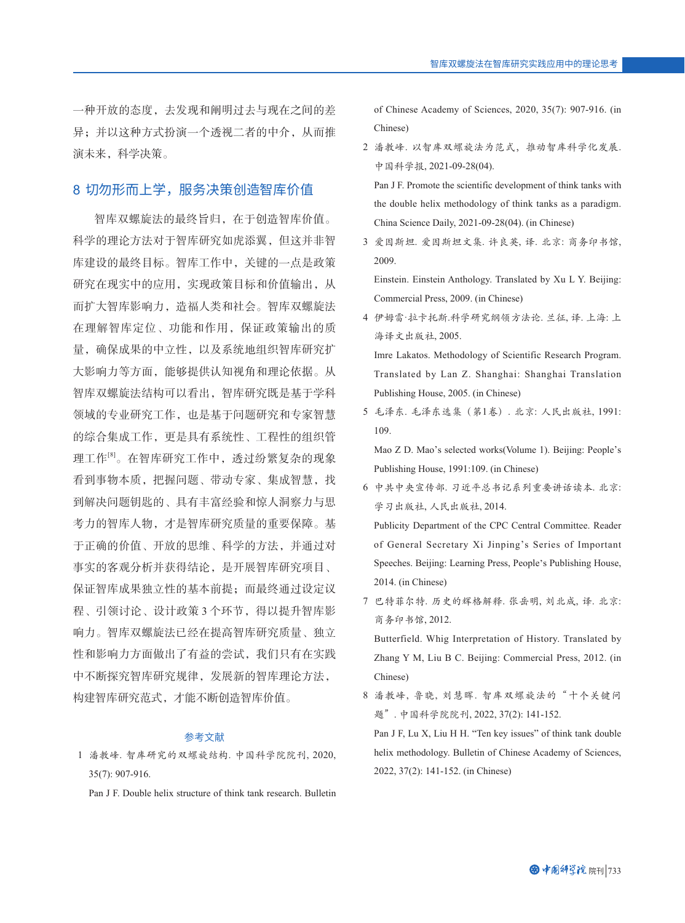一种开放的态度,去发现和阐明过去与现在之间的差 异;并以这种方式扮演一个透视二者的中介,从而推 演未来,科学决策。

#### 8 切勿形而上学,服务决策创造智库价值

智库双螺旋法的最终旨归,在于创造智库价值。 科学的理论方法对于智库研究如虎添翼,但这并非智 库建设的最终目标。智库工作中,关键的一点是政策 研究在现实中的应用,实现政策目标和价值输出,从 而扩大智库影响力,造福人类和社会。智库双螺旋法 在理解智库定位、功能和作用,保证政策输出的质 量,确保成果的中立性,以及系统地组织智库研究扩 大影响力等方面,能够提供认知视角和理论依据。从 智库双螺旋法结构可以看出,智库研究既是基于学科 领域的专业研究工作,也是基于问题研究和专家智慧 的综合集成工作,更是具有系统性、工程性的组织管 理工作<sup>[8]</sup>。在智库研究工作中,透过纷繁复杂的现象 看到事物本质,把握问题、带动专家、集成智慧,找 到解决问题钥匙的、具有丰富经验和惊人洞察力与思 考力的智库人物,才是智库研究质量的重要保障。基 于正确的价值、开放的思维、科学的方法,并通过对 事实的客观分析并获得结论,是开展智库研究项目、 保证智库成果独立性的基本前提;而最终通过设定议 程、引领讨论、设计政策 3 个环节,得以提升智库影 响力。智库双螺旋法已经在提高智库研究质量、独立 性和影响力方面做出了有益的尝试,我们只有在实践 中不断探究智库研究规律,发展新的智库理论方法, 构建智库研究范式,才能不断创造智库价值。

#### 参考文献

- 1 潘教峰. 智库研究的双螺旋结构. 中国科学院院刊, 2020, 35(7): 907-916.
	- Pan J F. Double helix structure of think tank research. Bulletin

of Chinese Academy of Sciences, 2020, 35(7): 907-916. (in Chinese)

 2 潘教峰. 以智库双螺旋法为范式,推动智库科学化发展. 中国科学报, 2021-09-28(04). Pan J F. Promote the scientific development of think tanks with the double helix methodology of think tanks as a paradigm.

China Science Daily, 2021-09-28(04). (in Chinese)

 3 爱因斯坦. 爱因斯坦文集. 许良英, 译. 北京: 商务印书馆, 2009.

 Einstein. Einstein Anthology. Translated by Xu L Y. Beijing: Commercial Press, 2009. (in Chinese)

 4 伊姆雷·拉卡托斯.科学研究纲领方法论. 兰征, 译. 上海: 上 海译文出版社, 2005. Imre Lakatos. Methodology of Scientific Research Program. Translated by Lan Z. Shanghai: Shanghai Translation

Publishing House, 2005. (in Chinese)

 5 毛泽东. 毛泽东选集(第1卷). 北京: 人民出版社, 1991: 109.

 Mao Z D. Mao's selected works(Volume 1). Beijing: People's Publishing House, 1991:109. (in Chinese)

 6 中共中央宣传部. 习近平总书记系列重要讲话读本. 北京: 学习出版社, 人民出版社, 2014. Publicity Department of the CPC Central Committee. Reader

of General Secretary Xi Jinping's Series of Important Speeches. Beijing: Learning Press, People's Publishing House, 2014. (in Chinese)

 7 巴特菲尔特. 历史的辉格解释. 张岳明, 刘北成, 译. 北京: 商务印书馆, 2012.

 Butterfield. Whig Interpretation of History. Translated by Zhang Y M, Liu B C. Beijing: Commercial Press, 2012. (in Chinese)

 8 潘教峰, 鲁晓, 刘慧晖. 智库双螺旋法的"十个关键问 题". 中国科学院院刊, 2022, 37(2): 141-152.

 Pan J F, Lu X, Liu H H. "Ten key issues" of think tank double helix methodology. Bulletin of Chinese Academy of Sciences, 2022, 37(2): 141-152. (in Chinese)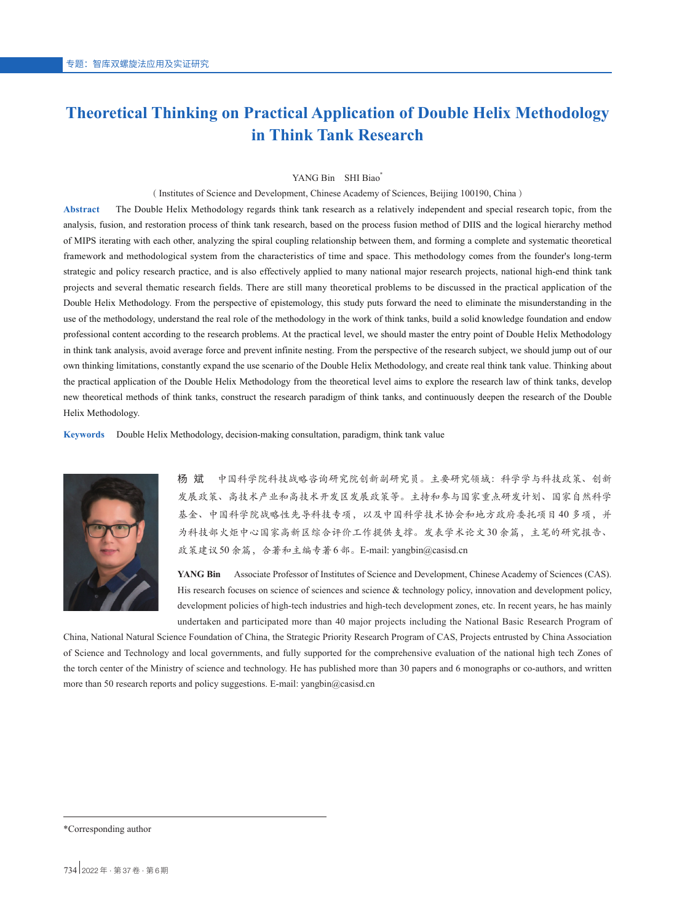## **Theoretical Thinking on Practical Application of Double Helix Methodology in Think Tank Research**

#### YANG Bin SHI Biao\*

(Institutes of Science and Development, Chinese Academy of Sciences, Beijing 100190, China)

**Abstract** The Double Helix Methodology regards think tank research as a relatively independent and special research topic, from the analysis, fusion, and restoration process of think tank research, based on the process fusion method of DIIS and the logical hierarchy method of MIPS iterating with each other, analyzing the spiral coupling relationship between them, and forming a complete and systematic theoretical framework and methodological system from the characteristics of time and space. This methodology comes from the founder's long-term strategic and policy research practice, and is also effectively applied to many national major research projects, national high-end think tank projects and several thematic research fields. There are still many theoretical problems to be discussed in the practical application of the Double Helix Methodology. From the perspective of epistemology, this study puts forward the need to eliminate the misunderstanding in the use of the methodology, understand the real role of the methodology in the work of think tanks, build a solid knowledge foundation and endow professional content according to the research problems. At the practical level, we should master the entry point of Double Helix Methodology in think tank analysis, avoid average force and prevent infinite nesting. From the perspective of the research subject, we should jump out of our own thinking limitations, constantly expand the use scenario of the Double Helix Methodology, and create real think tank value. Thinking about the practical application of the Double Helix Methodology from the theoretical level aims to explore the research law of think tanks, develop new theoretical methods of think tanks, construct the research paradigm of think tanks, and continuously deepen the research of the Double Helix Methodology.

**Keywords** Double Helix Methodology, decision-making consultation, paradigm, think tank value



杨 斌 中国科学院科技战略咨询研究院创新副研究员。主要研究领域:科学学与科技政策、创新 发展政策、高技术产业和高技术开发区发展政策等。主持和参与国家重点研发计划、国家自然科学 基金、中国科学院战略性先导科技专项,以及中国科学技术协会和地方政府委托项目 40 多项,并 为科技部火炬中心国家高新区综合评价工作提供支撑。发表学术论文 30 余篇,主笔的研究报告、 政策建议 50余篇,合著和主编专著6部。E-mail: yangbin@casisd.cn

**YANG Bin** Associate Professor of Institutes of Science and Development, Chinese Academy of Sciences (CAS). His research focuses on science of sciences and science & technology policy, innovation and development policy, development policies of high-tech industries and high-tech development zones, etc. In recent years, he has mainly undertaken and participated more than 40 major projects including the National Basic Research Program of

China, National Natural Science Foundation of China, the Strategic Priority Research Program of CAS, Projects entrusted by China Association of Science and Technology and local governments, and fully supported for the comprehensive evaluation of the national high tech Zones of the torch center of the Ministry of science and technology. He has published more than 30 papers and 6 monographs or co-authors, and written more than 50 research reports and policy suggestions. E-mail: yangbin@casisd.cn

<sup>\*</sup>Corresponding author